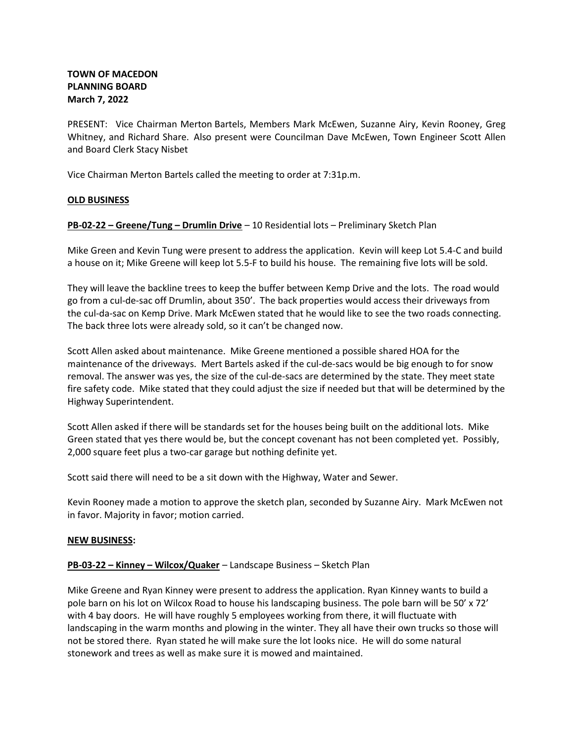# TOWN OF MACEDON PLANNING BOARD March 7, 2022

PRESENT: Vice Chairman Merton Bartels, Members Mark McEwen, Suzanne Airy, Kevin Rooney, Greg Whitney, and Richard Share. Also present were Councilman Dave McEwen, Town Engineer Scott Allen and Board Clerk Stacy Nisbet

Vice Chairman Merton Bartels called the meeting to order at 7:31p.m.

# OLD BUSINESS

PB-02-22 – Greene/Tung – Drumlin Drive – 10 Residential lots – Preliminary Sketch Plan

Mike Green and Kevin Tung were present to address the application. Kevin will keep Lot 5.4-C and build a house on it; Mike Greene will keep lot 5.5-F to build his house. The remaining five lots will be sold.

They will leave the backline trees to keep the buffer between Kemp Drive and the lots. The road would go from a cul-de-sac off Drumlin, about 350'. The back properties would access their driveways from the cul-da-sac on Kemp Drive. Mark McEwen stated that he would like to see the two roads connecting. The back three lots were already sold, so it can't be changed now.

Scott Allen asked about maintenance. Mike Greene mentioned a possible shared HOA for the maintenance of the driveways. Mert Bartels asked if the cul-de-sacs would be big enough to for snow removal. The answer was yes, the size of the cul-de-sacs are determined by the state. They meet state fire safety code. Mike stated that they could adjust the size if needed but that will be determined by the Highway Superintendent.

Scott Allen asked if there will be standards set for the houses being built on the additional lots. Mike Green stated that yes there would be, but the concept covenant has not been completed yet. Possibly, 2,000 square feet plus a two-car garage but nothing definite yet.

Scott said there will need to be a sit down with the Highway, Water and Sewer.

Kevin Rooney made a motion to approve the sketch plan, seconded by Suzanne Airy. Mark McEwen not in favor. Majority in favor; motion carried.

### NEW BUSINESS:

### PB-03-22 - Kinney - Wilcox/Quaker - Landscape Business - Sketch Plan

Mike Greene and Ryan Kinney were present to address the application. Ryan Kinney wants to build a pole barn on his lot on Wilcox Road to house his landscaping business. The pole barn will be 50' x 72' with 4 bay doors. He will have roughly 5 employees working from there, it will fluctuate with landscaping in the warm months and plowing in the winter. They all have their own trucks so those will not be stored there. Ryan stated he will make sure the lot looks nice. He will do some natural stonework and trees as well as make sure it is mowed and maintained.